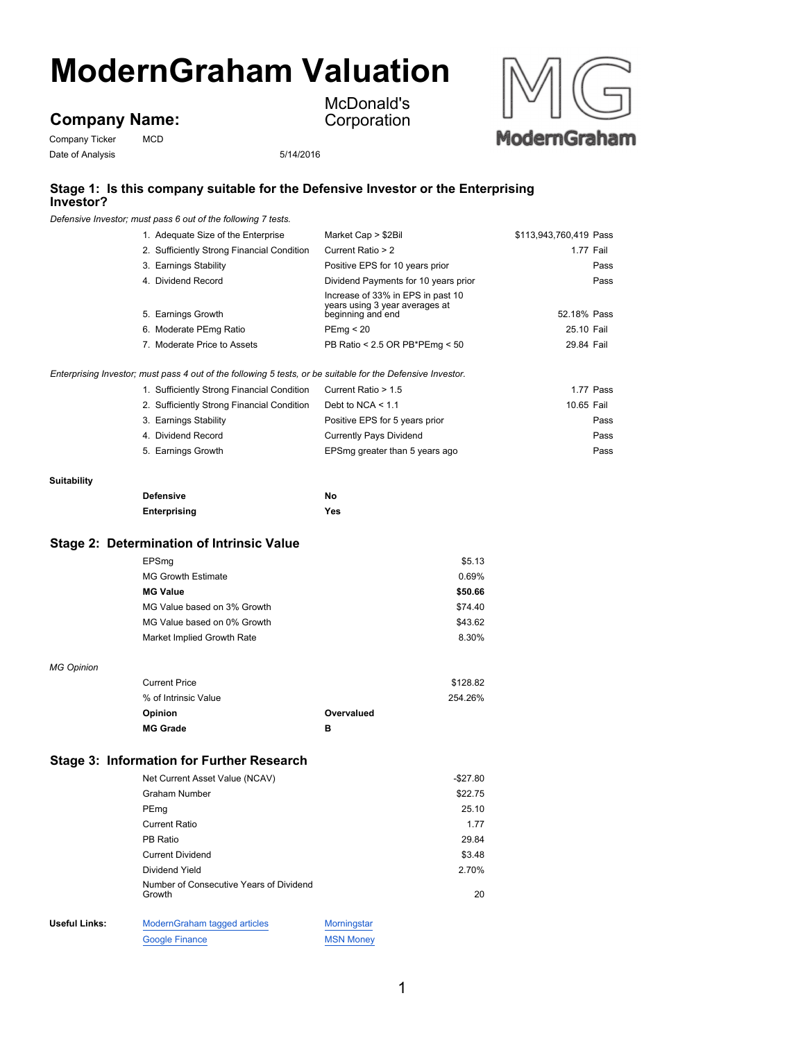# **ModernGraham Valuation**

## **Company Name:**

Company Ticker MCD Date of Analysis 5/14/2016

McDonald's Corporation



#### **Stage 1: Is this company suitable for the Defensive Investor or the Enterprising Investor?**

*Defensive Investor; must pass 6 out of the following 7 tests.*

| 1. Adequate Size of the Enterprise                                                                          | Market Cap > \$2Bil                                                                      | \$113,943,760,419 Pass |
|-------------------------------------------------------------------------------------------------------------|------------------------------------------------------------------------------------------|------------------------|
| 2. Sufficiently Strong Financial Condition                                                                  | Current Ratio > 2                                                                        | 1.77 Fail              |
| 3. Earnings Stability                                                                                       | Positive EPS for 10 years prior                                                          | Pass                   |
| 4. Dividend Record                                                                                          | Dividend Payments for 10 years prior                                                     | Pass                   |
| 5. Earnings Growth                                                                                          | Increase of 33% in EPS in past 10<br>years using 3 year averages at<br>beginning and end | 52.18% Pass            |
| 6. Moderate PEmg Ratio                                                                                      | PEmq < 20                                                                                | 25.10 Fail             |
| 7. Moderate Price to Assets                                                                                 | PB Ratio < 2.5 OR PB*PEmg < 50                                                           | 29.84 Fail             |
| Enterprising Investor; must pass 4 out of the following 5 tests, or be suitable for the Defensive Investor. |                                                                                          |                        |
| 1. Sufficiently Strong Financial Condition                                                                  | Current Ratio > 1.5                                                                      | 1.77 Pass              |
| 2. Sufficiently Strong Financial Condition                                                                  | Debt to NCA $<$ 1.1                                                                      | 10.65 Fail             |
| 3. Earnings Stability                                                                                       | Positive EPS for 5 years prior                                                           | Pass                   |
| 4. Dividend Record                                                                                          | Currently Pays Dividend                                                                  | Pass                   |
| 5. Earnings Growth                                                                                          | EPSmg greater than 5 years ago                                                           | Pass                   |
|                                                                                                             |                                                                                          |                        |

#### **Suitability**

| <b>Defensive</b> | No  |
|------------------|-----|
| Enterprising     | Yes |

#### **Stage 2: Determination of Intrinsic Value**

| EPSmg                       | \$5.13  |
|-----------------------------|---------|
| <b>MG Growth Estimate</b>   | 0.69%   |
| <b>MG Value</b>             | \$50.66 |
| MG Value based on 3% Growth | \$74.40 |
| MG Value based on 0% Growth | \$43.62 |
| Market Implied Growth Rate  | 8.30%   |
|                             |         |

#### *MG Opinion*

| <b>Current Price</b> | \$128.82   |
|----------------------|------------|
| % of Intrinsic Value | 254.26%    |
| <b>Opinion</b>       | Overvalued |
| <b>MG Grade</b>      | в          |

#### **Stage 3: Information for Further Research**

|               | Net Current Asset Value (NCAV)                    |                  | $-$ \$27.80 |
|---------------|---------------------------------------------------|------------------|-------------|
|               | Graham Number                                     |                  | \$22.75     |
|               | PEmg                                              |                  | 25.10       |
|               | Current Ratio                                     |                  | 1.77        |
|               | PB Ratio                                          |                  | 29.84       |
|               | <b>Current Dividend</b>                           |                  | \$3.48      |
|               | Dividend Yield                                    |                  | 2.70%       |
|               | Number of Consecutive Years of Dividend<br>Growth |                  | 20          |
| Useful Links: | ModernGraham tagged articles                      | Morningstar      |             |
|               | <b>Google Finance</b>                             | <b>MSN Money</b> |             |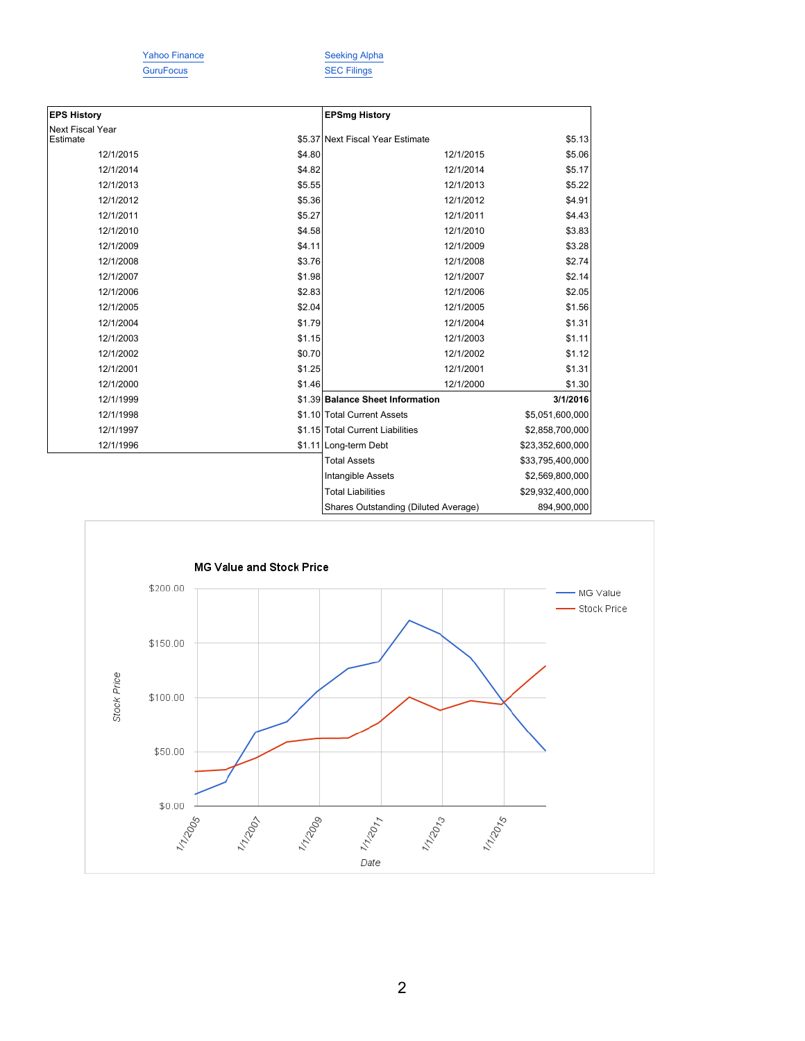GuruFocus SEC Filings

Yahoo Finance Seeking Alpha

| <b>EPS History</b>           |        | <b>EPSmg History</b>                 |                  |
|------------------------------|--------|--------------------------------------|------------------|
| Next Fiscal Year<br>Estimate |        | \$5.37 Next Fiscal Year Estimate     | \$5.13           |
|                              |        |                                      |                  |
| 12/1/2015                    | \$4.80 | 12/1/2015                            | \$5.06           |
| 12/1/2014                    | \$4.82 | 12/1/2014                            | \$5.17           |
| 12/1/2013                    | \$5.55 | 12/1/2013                            | \$5.22           |
| 12/1/2012                    | \$5.36 | 12/1/2012                            | \$4.91           |
| 12/1/2011                    | \$5.27 | 12/1/2011                            | \$4.43           |
| 12/1/2010                    | \$4.58 | 12/1/2010                            | \$3.83           |
| 12/1/2009                    | \$4.11 | 12/1/2009                            | \$3.28           |
| 12/1/2008                    | \$3.76 | 12/1/2008                            | \$2.74           |
| 12/1/2007                    | \$1.98 | 12/1/2007                            | \$2.14           |
| 12/1/2006                    | \$2.83 | 12/1/2006                            | \$2.05           |
| 12/1/2005                    | \$2.04 | 12/1/2005                            | \$1.56           |
| 12/1/2004                    | \$1.79 | 12/1/2004                            | \$1.31           |
| 12/1/2003                    | \$1.15 | 12/1/2003                            | \$1.11           |
| 12/1/2002                    | \$0.70 | 12/1/2002                            | \$1.12           |
| 12/1/2001                    | \$1.25 | 12/1/2001                            | \$1.31           |
| 12/1/2000                    | \$1.46 | 12/1/2000                            | \$1.30           |
| 12/1/1999                    |        | \$1.39 Balance Sheet Information     | 3/1/2016         |
| 12/1/1998                    |        | \$1.10 Total Current Assets          | \$5,051,600,000  |
| 12/1/1997                    |        | \$1.15 Total Current Liabilities     | \$2,858,700,000  |
| 12/1/1996                    |        | \$1.11 Long-term Debt                | \$23,352,600,000 |
|                              |        | <b>Total Assets</b>                  | \$33,795,400,000 |
|                              |        | Intangible Assets                    | \$2,569,800,000  |
|                              |        | <b>Total Liabilities</b>             | \$29,932,400,000 |
|                              |        | Shares Outstanding (Diluted Average) | 894,900,000      |